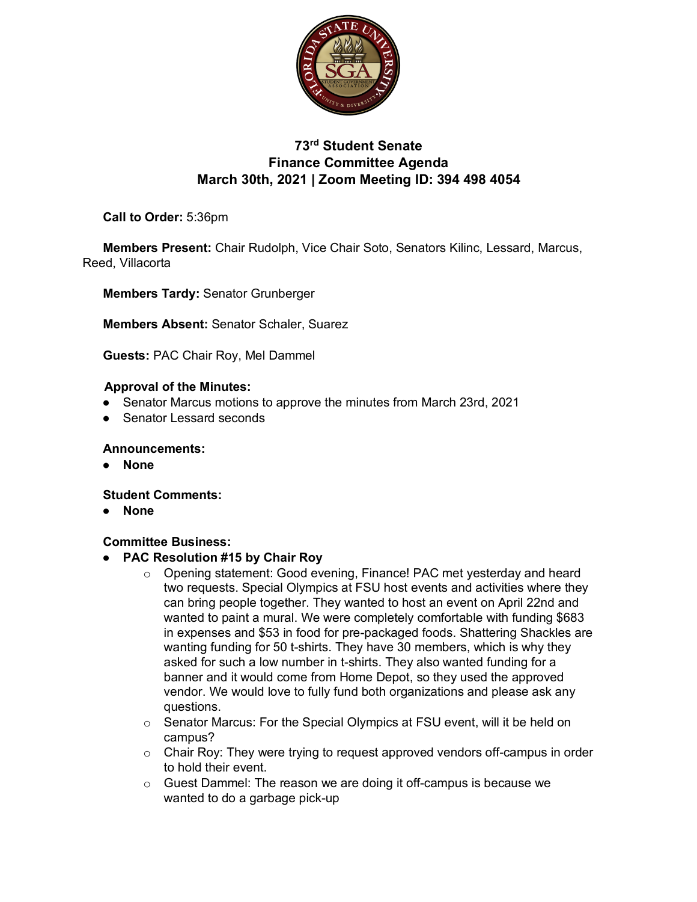

# **73rd Student Senate Finance Committee Agenda March 30th, 2021 | Zoom Meeting ID: 394 498 4054**

**Call to Order:** 5:36pm

**Members Present:** Chair Rudolph, Vice Chair Soto, Senators Kilinc, Lessard, Marcus, Reed, Villacorta

**Members Tardy:** Senator Grunberger

**Members Absent:** Senator Schaler, Suarez

**Guests:** PAC Chair Roy, Mel Dammel

## **Approval of the Minutes:**

- Senator Marcus motions to approve the minutes from March 23rd, 2021
- Senator Lessard seconds

### **Announcements:**

● **None**

## **Student Comments:**

● **None**

## **Committee Business:**

- **PAC Resolution #15 by Chair Roy**
	- o Opening statement: Good evening, Finance! PAC met yesterday and heard two requests. Special Olympics at FSU host events and activities where they can bring people together. They wanted to host an event on April 22nd and wanted to paint a mural. We were completely comfortable with funding \$683 in expenses and \$53 in food for pre-packaged foods. Shattering Shackles are wanting funding for 50 t-shirts. They have 30 members, which is why they asked for such a low number in t-shirts. They also wanted funding for a banner and it would come from Home Depot, so they used the approved vendor. We would love to fully fund both organizations and please ask any questions.
	- $\circ$  Senator Marcus: For the Special Olympics at FSU event, will it be held on campus?
	- $\circ$  Chair Roy: They were trying to request approved vendors off-campus in order to hold their event.
	- o Guest Dammel: The reason we are doing it off-campus is because we wanted to do a garbage pick-up